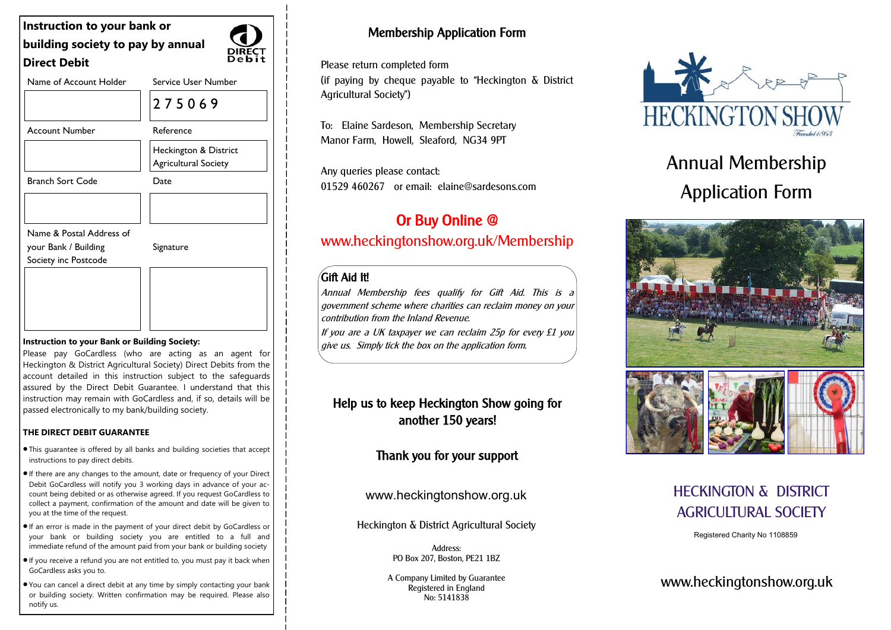| Instruction to your bank or                  |                                               |
|----------------------------------------------|-----------------------------------------------|
| building society to pay by annual            |                                               |
| <b>Direct Debit</b>                          |                                               |
| Name of Account Holder                       | Service User Number                           |
|                                              | 275069                                        |
| <b>Account Number</b>                        | Reference                                     |
|                                              | Heckington & District<br>Agricultural Society |
| <b>Branch Sort Code</b>                      | Date                                          |
|                                              |                                               |
| Name & Postal Address of                     |                                               |
| your Bank / Building<br>Society inc Postcode | Signature                                     |
|                                              |                                               |
|                                              |                                               |
|                                              |                                               |

#### **Instruction to your Bank or Building Society:**

Please pay GoCardless (who are acting as an agent for Heckington & District Agricultural Society) Direct Debits from the account detailed in this instruction subject to the safeguards assured by the Direct Debit Guarantee. I understand that this instruction may remain with GoCardless and, if so, details will be passed electronically to my bank/building society.

### **THE DIRECT DEBIT GUARANTEE**

- This guarantee is offered by all banks and building societies that accept instructions to pay direct debits.
- •If there are any changes to the amount, date or frequency of your Direct Debit GoCardless will notify you 3 working days in advance of your account being debited or as otherwise agreed. If you request GoCardless to collect a payment, confirmation of the amount and date will be given to you at the time of the request.
- •If an error is made in the payment of your direct debit by GoCardless or your bank or building society you are entitled to a full and immediate refund of the amount paid from your bank or building society
- •If you receive a refund you are not entitled to, you must pay it back when GoCardless asks you to.
- You can cancel a direct debit at any time by simply contacting your bank or building society. Written confirmation may be required. Please also notify us.

## Membership Application Form

Please return completed form

(if paying by cheque payable to "Heckington  $\delta$  District Agricultural Society")

To: Elaine Sardeson, Membership Secretary Manor Farm, Howell, Sleaford, NG34 9PT

Any queries please contact: 01529 460267 or email: elaine@sardesons.com

# Or Buy Online @ www.heckingtonshow.org.uk/Membership

### $/$ Gift Aid It!

 $\overline{\phantom{0}}$ 

Annual Membership fees qualify for Gift Aid. This is a government scheme where charities can reclaim money on your contribution from the Inland Revenue.

If you are a UK taxpayer we can reclaim 25p for every £1 you give us. Simply tick the box on the application form.

### Help us to keep Heckington Show going for another 150 years!

### Thank you for your support

www.heckingtonshow.org.uk

Heckington & District Agricultural Society

Address: PO Box 207, Boston, PE21 1BZ

A Company Limited by Guarantee Registered in England No: 5141838



# Annual Membership Application Form



## HECKINGTON & DISTRICT AGRICULTURAL SOCIETY

Registered Charity No 1108859

www.heckingtonshow.org.uk